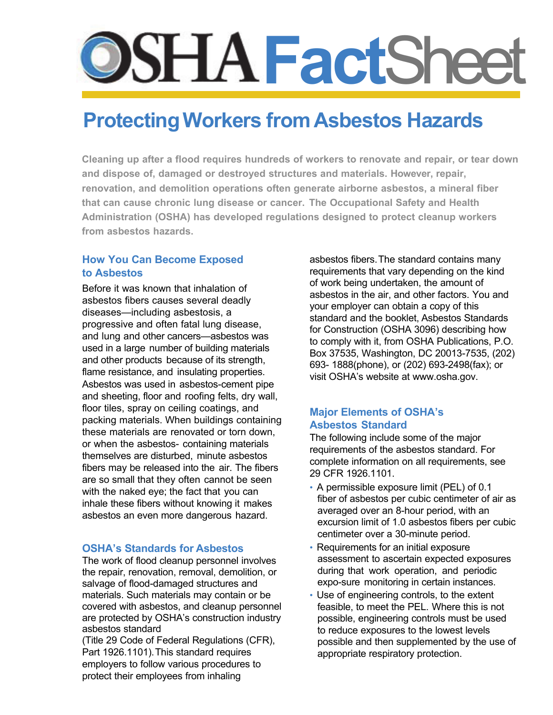# **DSHA FactSheet**

# **Protecting Workers from Asbestos Hazards**

**Cleaning up after a flood requires hundreds of workers to renovate and repair, or tear down and dispose of, damaged or destroyed structures and materials. However, repair, renovation, and demolition operations often generate airborne asbestos, a mineral fiber that can cause chronic lung disease or cancer. The Occupational Safety and Health Administration (OSHA) has developed regulations designed to protect cleanup workers from asbestos hazards.**

### **How You Can Become Exposed to Asbestos**

Before it was known that inhalation of asbestos fibers causes several deadly diseases—including asbestosis, a progressive and often fatal lung disease, and lung and other cancers—asbestos was used in a large number of building materials and other products because of its strength, flame resistance, and insulating properties. Asbestos was used in asbestos-cement pipe and sheeting, floor and roofing felts, dry wall, floor tiles, spray on ceiling coatings, and packing materials. When buildings containing these materials are renovated or torn down, or when the asbestos- containing materials themselves are disturbed, minute asbestos fibers may be released into the air. The fibers are so small that they often cannot be seen with the naked eye; the fact that you can inhale these fibers without knowing it makes asbestos an even more dangerous hazard.

#### **OSHA's Standards for Asbestos**

The work of flood cleanup personnel involves the repair, renovation, removal, demolition, or salvage of flood-damaged structures and materials. Such materials may contain or be covered with asbestos, and cleanup personnel are protected by OSHA's construction industry asbestos standard

(Title 29 Code of Federal Regulations (CFR), Part 1926.1101). This standard requires employers to follow various procedures to protect their employees from inhaling

asbestos fibers. The standard contains many requirements that vary depending on the kind of work being undertaken, the amount of asbestos in the air, and other factors. You and your employer can obtain a copy of this standard and the booklet, Asbestos Standards for Construction (OSHA 3096) describing how to comply with it, from OSHA Publications, P.O. Box 37535, Washington, DC 20013-7535, (202) 693- 1888(phone), or (202) 693-2498(fax); or visit OSHA's website at www.osha.gov.

## **Major Elements of OSHA's Asbestos Standard**

The following include some of the major requirements of the asbestos standard. For complete information on all requirements, see 29 CFR 1926.1101.

- A permissible exposure limit (PEL) of 0.1 fiber of asbestos per cubic centimeter of air as averaged over an 8-hour period, with an excursion limit of 1.0 asbestos fibers per cubic centimeter over a 30-minute period.
- Requirements for an initial exposure assessment to ascertain expected exposures during that work operation, and periodic expo-sure monitoring in certain instances.
- Use of engineering controls, to the extent feasible, to meet the PEL. Where this is not possible, engineering controls must be used to reduce exposures to the lowest levels possible and then supplemented by the use of appropriate respiratory protection.